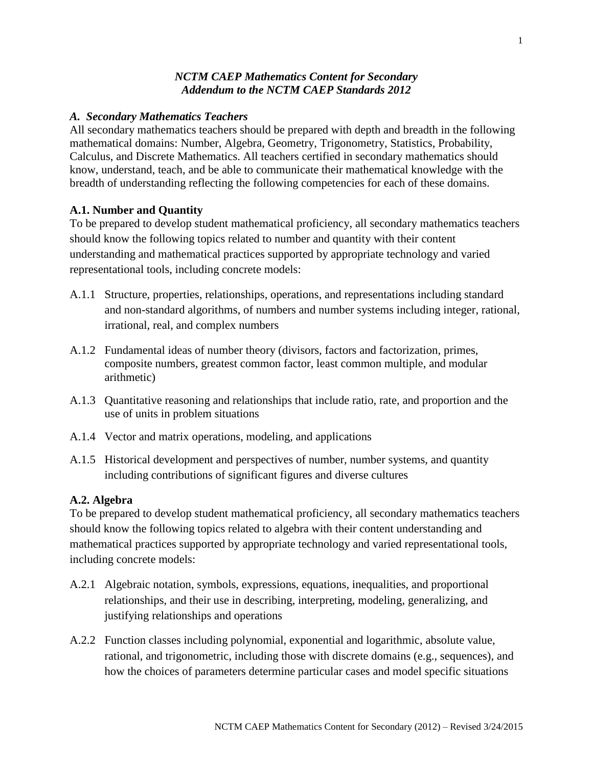# *NCTM CAEP Mathematics Content for Secondary Addendum to the NCTM CAEP Standards 2012*

## *A. Secondary Mathematics Teachers*

All secondary mathematics teachers should be prepared with depth and breadth in the following mathematical domains: Number, Algebra, Geometry, Trigonometry, Statistics, Probability, Calculus, and Discrete Mathematics. All teachers certified in secondary mathematics should know, understand, teach, and be able to communicate their mathematical knowledge with the breadth of understanding reflecting the following competencies for each of these domains.

## **A.1. Number and Quantity**

To be prepared to develop student mathematical proficiency, all secondary mathematics teachers should know the following topics related to number and quantity with their content understanding and mathematical practices supported by appropriate technology and varied representational tools, including concrete models:

- A.1.1 Structure, properties, relationships, operations, and representations including standard and non-standard algorithms, of numbers and number systems including integer, rational, irrational, real, and complex numbers
- A.1.2 Fundamental ideas of number theory (divisors, factors and factorization, primes, composite numbers, greatest common factor, least common multiple, and modular arithmetic)
- A.1.3 Quantitative reasoning and relationships that include ratio, rate, and proportion and the use of units in problem situations
- A.1.4 Vector and matrix operations, modeling, and applications
- A.1.5 Historical development and perspectives of number, number systems, and quantity including contributions of significant figures and diverse cultures

### **A.2. Algebra**

To be prepared to develop student mathematical proficiency, all secondary mathematics teachers should know the following topics related to algebra with their content understanding and mathematical practices supported by appropriate technology and varied representational tools, including concrete models:

- A.2.1 Algebraic notation, symbols, expressions, equations, inequalities, and proportional relationships, and their use in describing, interpreting, modeling, generalizing, and justifying relationships and operations
- A.2.2 Function classes including polynomial, exponential and logarithmic, absolute value, rational, and trigonometric, including those with discrete domains (e.g., sequences), and how the choices of parameters determine particular cases and model specific situations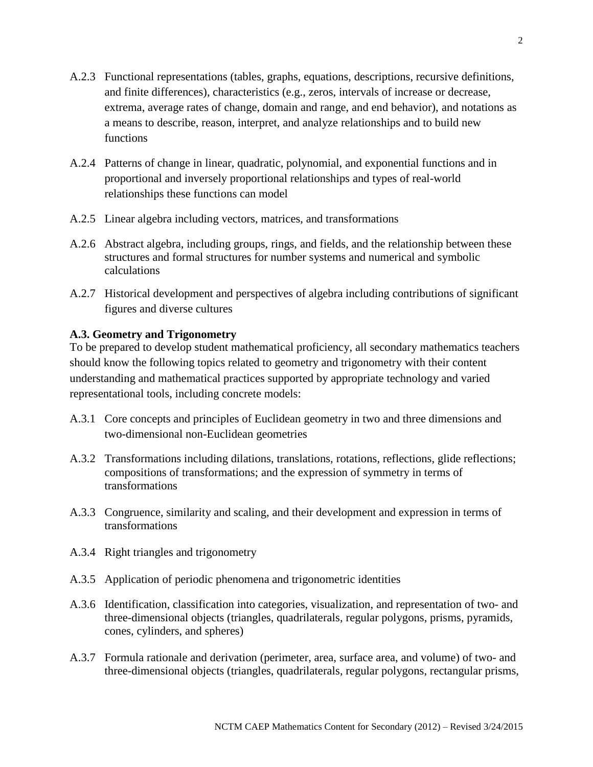- A.2.3 Functional representations (tables, graphs, equations, descriptions, recursive definitions, and finite differences), characteristics (e.g., zeros, intervals of increase or decrease, extrema, average rates of change, domain and range, and end behavior), and notations as a means to describe, reason, interpret, and analyze relationships and to build new functions
- A.2.4 Patterns of change in linear, quadratic, polynomial, and exponential functions and in proportional and inversely proportional relationships and types of real-world relationships these functions can model
- A.2.5 Linear algebra including vectors, matrices, and transformations
- A.2.6 Abstract algebra, including groups, rings, and fields, and the relationship between these structures and formal structures for number systems and numerical and symbolic calculations
- A.2.7 Historical development and perspectives of algebra including contributions of significant figures and diverse cultures

# **A.3. Geometry and Trigonometry**

To be prepared to develop student mathematical proficiency, all secondary mathematics teachers should know the following topics related to geometry and trigonometry with their content understanding and mathematical practices supported by appropriate technology and varied representational tools, including concrete models:

- A.3.1 Core concepts and principles of Euclidean geometry in two and three dimensions and two-dimensional non-Euclidean geometries
- A.3.2 Transformations including dilations, translations, rotations, reflections, glide reflections; compositions of transformations; and the expression of symmetry in terms of transformations
- A.3.3 Congruence, similarity and scaling, and their development and expression in terms of transformations
- A.3.4 Right triangles and trigonometry
- A.3.5 Application of periodic phenomena and trigonometric identities
- A.3.6 Identification, classification into categories, visualization, and representation of two- and three-dimensional objects (triangles, quadrilaterals, regular polygons, prisms, pyramids, cones, cylinders, and spheres)
- A.3.7 Formula rationale and derivation (perimeter, area, surface area, and volume) of two- and three-dimensional objects (triangles, quadrilaterals, regular polygons, rectangular prisms,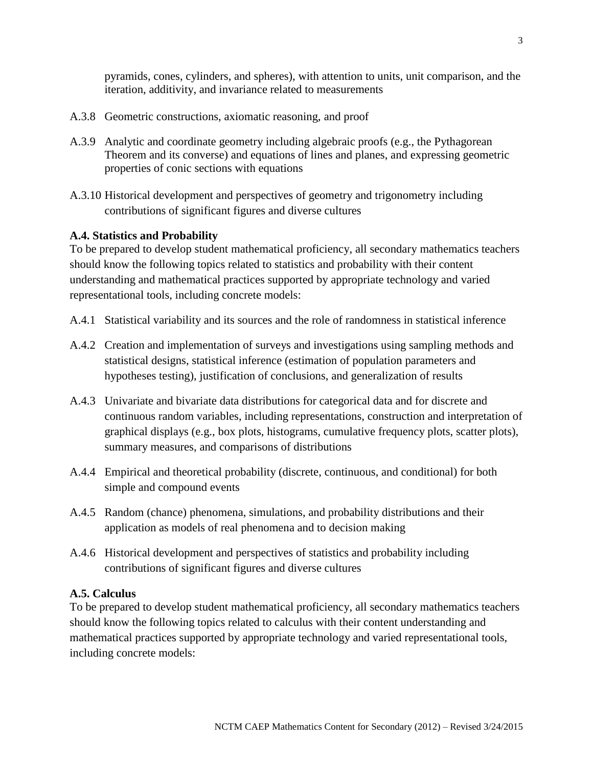pyramids, cones, cylinders, and spheres), with attention to units, unit comparison, and the iteration, additivity, and invariance related to measurements

- A.3.8 Geometric constructions, axiomatic reasoning, and proof
- A.3.9 Analytic and coordinate geometry including algebraic proofs (e.g., the Pythagorean Theorem and its converse) and equations of lines and planes, and expressing geometric properties of conic sections with equations
- A.3.10 Historical development and perspectives of geometry and trigonometry including contributions of significant figures and diverse cultures

## **A.4. Statistics and Probability**

To be prepared to develop student mathematical proficiency, all secondary mathematics teachers should know the following topics related to statistics and probability with their content understanding and mathematical practices supported by appropriate technology and varied representational tools, including concrete models:

- A.4.1 Statistical variability and its sources and the role of randomness in statistical inference
- A.4.2 Creation and implementation of surveys and investigations using sampling methods and statistical designs, statistical inference (estimation of population parameters and hypotheses testing), justification of conclusions, and generalization of results
- A.4.3 Univariate and bivariate data distributions for categorical data and for discrete and continuous random variables, including representations, construction and interpretation of graphical displays (e.g., box plots, histograms, cumulative frequency plots, scatter plots), summary measures, and comparisons of distributions
- A.4.4 Empirical and theoretical probability (discrete, continuous, and conditional) for both simple and compound events
- A.4.5 Random (chance) phenomena, simulations, and probability distributions and their application as models of real phenomena and to decision making
- A.4.6 Historical development and perspectives of statistics and probability including contributions of significant figures and diverse cultures

### **A.5. Calculus**

To be prepared to develop student mathematical proficiency, all secondary mathematics teachers should know the following topics related to calculus with their content understanding and mathematical practices supported by appropriate technology and varied representational tools, including concrete models: